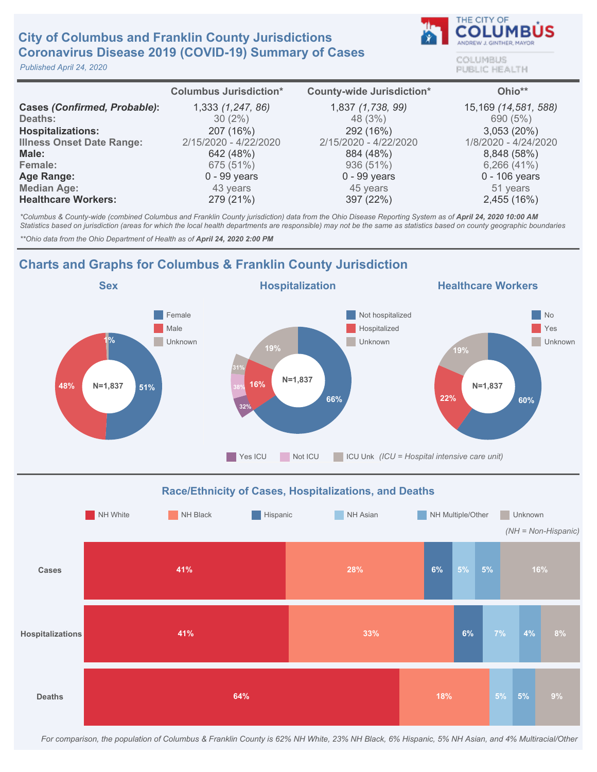### **City of Columbus and Franklin County Jurisdictions** Coronavirus Disease 2019 (COVID-19) Summary of Cases

Published April 24, 2020



COLUMBUS PUBLIC HEALTH

|                                     | <b>Columbus Jurisdiction*</b> | <b>County-wide Jurisdiction*</b> | Ohio**               |
|-------------------------------------|-------------------------------|----------------------------------|----------------------|
| <b>Cases (Confirmed, Probable):</b> | 1,333 (1,247, 86)             | 1,837 (1,738, 99)                | 15,169 (14,581, 588) |
| Deaths:                             | $30(2\%)$                     | 48 (3%)                          | 690 (5%)             |
| <b>Hospitalizations:</b>            | 207 (16%)                     | 292 (16%)                        | 3,053(20%)           |
| <b>Illness Onset Date Range:</b>    | 2/15/2020 - 4/22/2020         | 2/15/2020 - 4/22/2020            | 1/8/2020 - 4/24/2020 |
| Male:                               | 642 (48%)                     | 884 (48%)                        | 8,848 (58%)          |
| Female:                             | 675 (51%)                     | 936 (51%)                        | 6,266(41%)           |
| <b>Age Range:</b>                   | $0 - 99$ years                | $0 - 99$ years                   | $0 - 106$ years      |
| <b>Median Age:</b>                  | 43 years                      | 45 years                         | 51 years             |
| <b>Healthcare Workers:</b>          | 279 (21%)                     | 397 (22%)                        | 2,455 (16%)          |

\*Columbus & County-wide (combined Columbus and Franklin County jurisdiction) data from the Ohio Disease Reporting System as of April 24, 2020 10:00 AM Statistics based on jurisdiction (areas for which the local health departments are responsible) may not be the same as statistics based on county geographic boundaries

\*\* Ohio data from the Ohio Department of Health as of April 24, 2020 2:00 PM

# Charts and Graphs for Columbus & Franklin County Jurisdiction





For comparison, the population of Columbus & Franklin County is 62% NH White, 23% NH Black, 6% Hispanic, 5% NH Asian, and 4% Multiracial/Other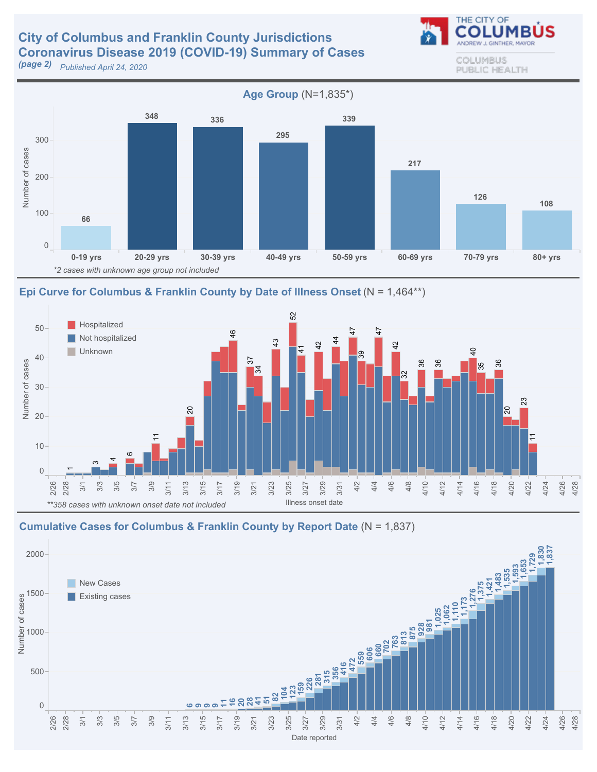## **City of Columbus and Franklin County Jurisdictions** Coronavirus Disease 2019 (COVID-19) Summary of Cases

**(page 2)** Published April 24, 2020



Epi Curve for Columbus & Franklin County by Date of Illness Onset ( $N = 1,464**$ )



#### Cumulative Cases for Columbus & Franklin County by Report Date ( $N = 1,837$ )